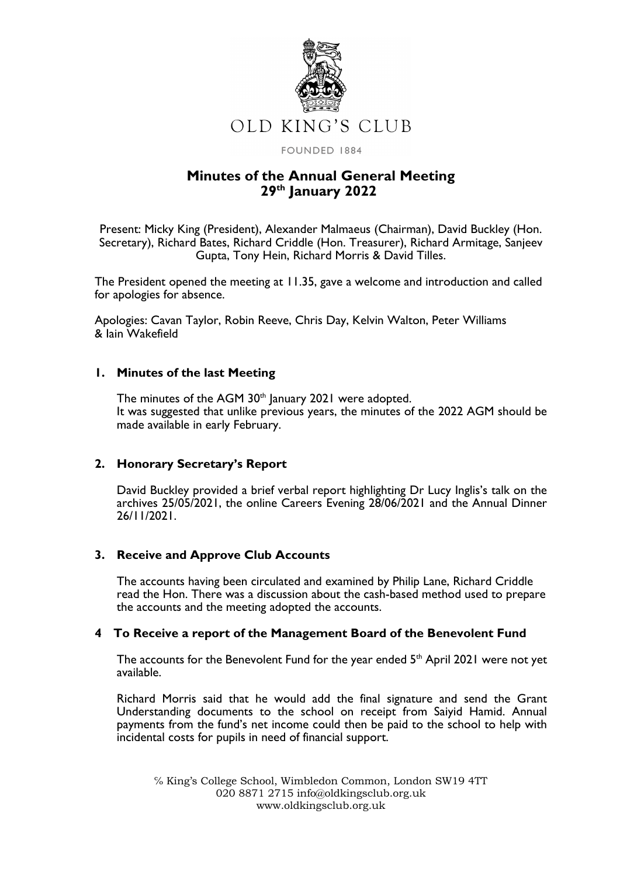

FOUNDED 1884

# **Minutes of the Annual General Meeting 29th January 2022**

Present: Micky King (President), Alexander Malmaeus (Chairman), David Buckley (Hon. Secretary), Richard Bates, Richard Criddle (Hon. Treasurer), Richard Armitage, Sanjeev Gupta, Tony Hein, Richard Morris & David Tilles.

The President opened the meeting at 11.35, gave a welcome and introduction and called for apologies for absence.

Apologies: Cavan Taylor, Robin Reeve, Chris Day, Kelvin Walton, Peter Williams & Iain Wakefield

# **1. Minutes of the last Meeting**

The minutes of the AGM 30<sup>th</sup> January 2021 were adopted. It was suggested that unlike previous years, the minutes of the 2022 AGM should be made available in early February.

# **2. Honorary Secretary's Report**

David Buckley provided a brief verbal report highlighting Dr Lucy Inglis's talk on the archives 25/05/2021, the online Careers Evening 28/06/2021 and the Annual Dinner 26/11/2021.

#### **3. Receive and Approve Club Accounts**

The accounts having been circulated and examined by Philip Lane, Richard Criddle read the Hon. There was a discussion about the cash-based method used to prepare the accounts and the meeting adopted the accounts.

#### **4 To Receive a report of the Management Board of the Benevolent Fund**

The accounts for the Benevolent Fund for the year ended  $5<sup>th</sup>$  April 2021 were not yet available.

Richard Morris said that he would add the final signature and send the Grant Understanding documents to the school on receipt from Saiyid Hamid. Annual payments from the fund's net income could then be paid to the school to help with incidental costs for pupils in need of financial support.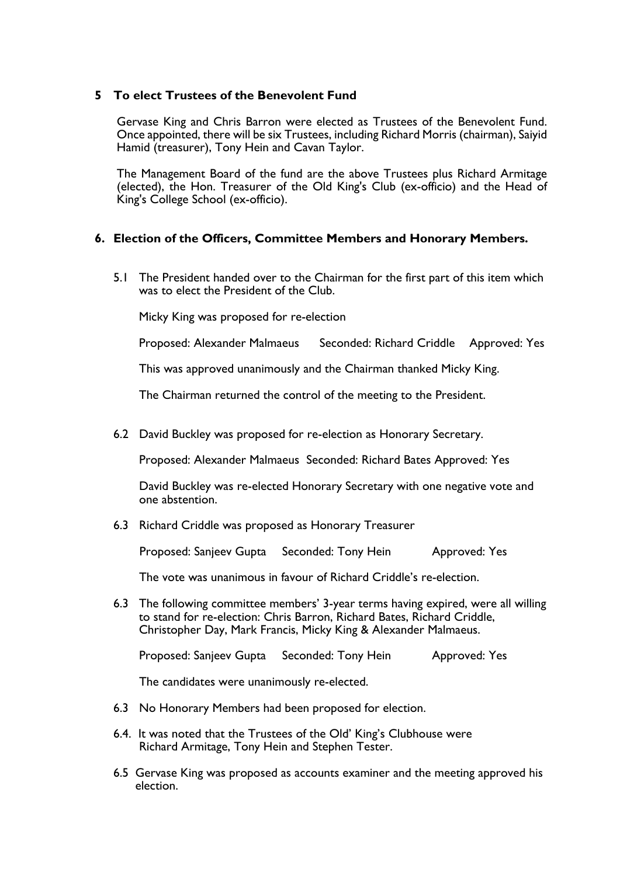# **5 To elect Trustees of the Benevolent Fund**

Gervase King and Chris Barron were elected as Trustees of the Benevolent Fund. Once appointed, there will be six Trustees, including Richard Morris (chairman), Saiyid Hamid (treasurer), Tony Hein and Cavan Taylor.

The Management Board of the fund are the above Trustees plus Richard Armitage (elected), the Hon. Treasurer of the Old King's Club (ex-officio) and the Head of King's College School (ex-officio).

### **6. Election of the Officers, Committee Members and Honorary Members.**

5.1 The President handed over to the Chairman for the first part of this item which was to elect the President of the Club.

Micky King was proposed for re-election

Proposed: Alexander Malmaeus Seconded: Richard Criddle Approved: Yes

This was approved unanimously and the Chairman thanked Micky King.

The Chairman returned the control of the meeting to the President.

6.2 David Buckley was proposed for re-election as Honorary Secretary.

Proposed: Alexander Malmaeus Seconded: Richard Bates Approved: Yes

David Buckley was re-elected Honorary Secretary with one negative vote and one abstention.

6.3 Richard Criddle was proposed as Honorary Treasurer

Proposed: Sanjeev Gupta Seconded: Tony Hein Approved: Yes

The vote was unanimous in favour of Richard Criddle's re-election.

6.3 The following committee members' 3-year terms having expired, were all willing to stand for re-election: Chris Barron, Richard Bates, Richard Criddle, Christopher Day, Mark Francis, Micky King & Alexander Malmaeus.

Proposed: Sanjeev Gupta Seconded: Tony Hein Approved: Yes

The candidates were unanimously re-elected.

- 6.3 No Honorary Members had been proposed for election.
- 6.4. It was noted that the Trustees of the Old' King's Clubhouse were Richard Armitage, Tony Hein and Stephen Tester.
- 6.5 Gervase King was proposed as accounts examiner and the meeting approved his election.